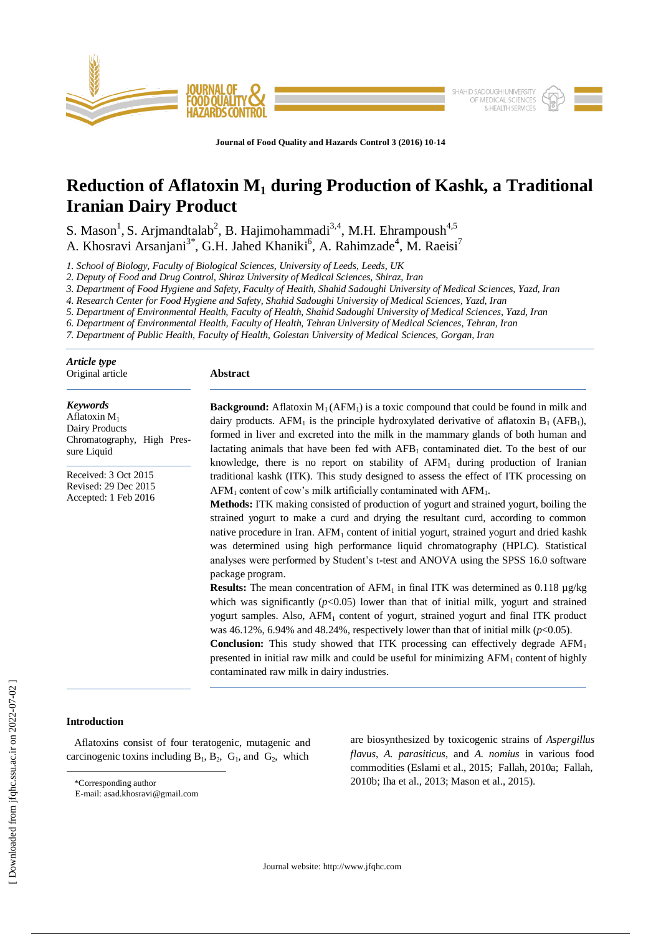

**Journal of Food Quality and Hazards Control 3 (2016) 10-14**

# **Reduction of Aflatoxin M<sup>1</sup> during Production of Kashk, a Traditional Iranian Dairy Product**

S. Mason<sup>1</sup>, S. Arjmandtalab<sup>2</sup>, B. Hajimohammadi<sup>3,4</sup>, M.H. Ehrampoush<sup>4,5</sup> A. Khosravi Arsanjani<sup>3\*</sup>, G.H. Jahed Khaniki<sup>6</sup>, A. Rahimzade<sup>4</sup>, M. Raeisi<sup>7</sup>

*1. School of Biology, Faculty of Biological Sciences, University of Leeds, Leeds, UK*

*2. Deputy of Food and Drug Control, Shiraz University of Medical Sciences, Shiraz, Iran*

*3. Department of Food Hygiene and Safety, Faculty of Health, Shahid Sadoughi University of Medical Sciences, Yazd, Iran*

*4. Research Center for Food Hygiene and Safety, Shahid Sadoughi University of Medical Sciences, Yazd, Iran* 

*5. Department of Environmental Health, Faculty of Health, Shahid Sadoughi University of Medical Sciences, Yazd, Iran* 

*6. Department of Environmental Health, Faculty of Health, Tehran University of Medical Sciences, Tehran, Iran*

*7. Department of Public Health, Faculty of Health, Golestan University of Medical Sciences, Gorgan, Iran*

| Article type<br>Original article                                                                  | Abstract                                                                                                                                                                                                                                                                                                                                                                                                                                                                                                                                                                                                                                                                                                                                                                                                                                                                                                                                                                                                                                                                                                                                                                                                                                                                                          |  |  |
|---------------------------------------------------------------------------------------------------|---------------------------------------------------------------------------------------------------------------------------------------------------------------------------------------------------------------------------------------------------------------------------------------------------------------------------------------------------------------------------------------------------------------------------------------------------------------------------------------------------------------------------------------------------------------------------------------------------------------------------------------------------------------------------------------------------------------------------------------------------------------------------------------------------------------------------------------------------------------------------------------------------------------------------------------------------------------------------------------------------------------------------------------------------------------------------------------------------------------------------------------------------------------------------------------------------------------------------------------------------------------------------------------------------|--|--|
| <b>Keywords</b><br>Aflatoxin $M_1$<br>Dairy Products<br>Chromatography, High Pres-<br>sure Liquid | <b>Background:</b> Aflatoxin $M_1(AFM_1)$ is a toxic compound that could be found in milk and<br>dairy products. AFM <sub>1</sub> is the principle hydroxylated derivative of aflatoxin $B_1$ (AFB <sub>1</sub> ),<br>formed in liver and excreted into the milk in the mammary glands of both human and<br>lactating animals that have been fed with $AFB1$ contaminated diet. To the best of our<br>knowledge, there is no report on stability of $AFM1$ during production of Iranian                                                                                                                                                                                                                                                                                                                                                                                                                                                                                                                                                                                                                                                                                                                                                                                                           |  |  |
| Received: 3 Oct 2015<br>Revised: 29 Dec 2015<br>Accepted: 1 Feb 2016                              | traditional kashk (ITK). This study designed to assess the effect of ITK processing on<br>$AFM1$ content of cow's milk artificially contaminated with $AFM1$ .<br>Methods: ITK making consisted of production of yogurt and strained yogurt, boiling the<br>strained yogurt to make a curd and drying the resultant curd, according to common<br>native procedure in Iran. AFM <sub>1</sub> content of initial yogurt, strained yogurt and dried kashk<br>was determined using high performance liquid chromatography (HPLC). Statistical<br>analyses were performed by Student's t-test and ANOVA using the SPSS 16.0 software<br>package program.<br><b>Results:</b> The mean concentration of AFM <sub>1</sub> in final ITK was determined as 0.118 $\mu$ g/kg<br>which was significantly $(p<0.05)$ lower than that of initial milk, yogurt and strained<br>yogurt samples. Also, AFM <sub>1</sub> content of yogurt, strained yogurt and final ITK product<br>was 46.12%, 6.94% and 48.24%, respectively lower than that of initial milk ( $p<0.05$ ).<br><b>Conclusion:</b> This study showed that ITK processing can effectively degrade $AFM1$<br>presented in initial raw milk and could be useful for minimizing $AFM1$ content of highly<br>contaminated raw milk in dairy industries. |  |  |

## **Introduction**

 $\overline{a}$ 

 Aflatoxins consist of four teratogenic, mutagenic and carcinogenic toxins including  $B_1$ ,  $B_2$ ,  $G_1$ , and  $G_2$ , which

\*Corresponding author

are biosynthesized by toxicogenic strains of *Aspergillus flavus*, *A. parasiticus*, and *A. nomius* in various food commodities (Eslami et al., 2015; Fallah, 2010a; Fallah, 2010b; Iha et al., 2013; Mason et al., 2015).

E-mail: asad.khosravi@gmail.com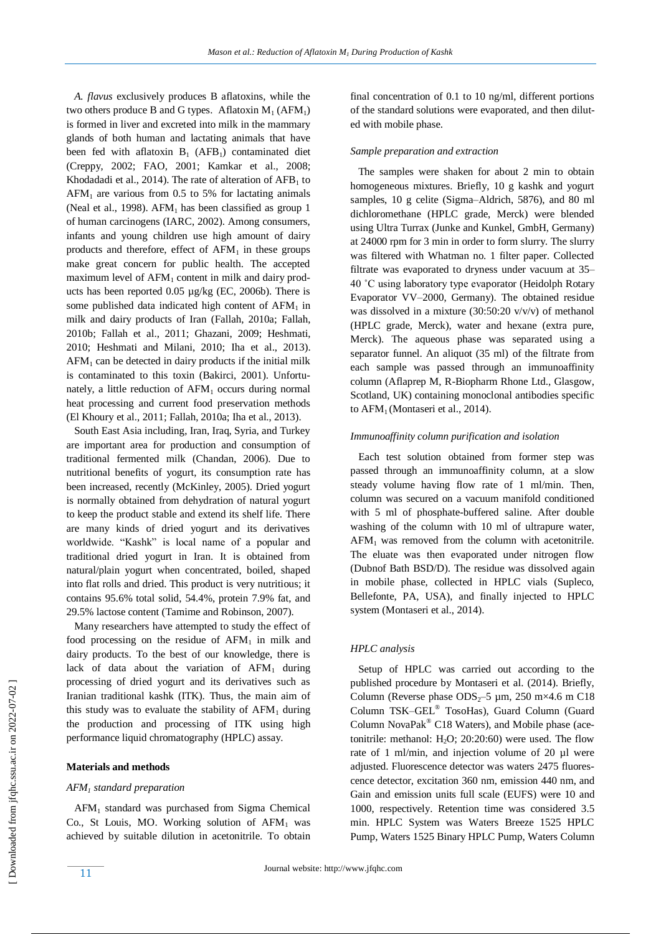*A. flavus* exclusively produces B aflatoxins, while the two others produce B and G types. Aflatoxin  $M_1$  (AFM<sub>1</sub>) is formed in liver and excreted into milk in the mammary glands of both human and lactating animals that have been fed with aflatoxin  $B_1$  (AFB<sub>1</sub>) contaminated diet (Creppy, 2002; FAO, 2001; Kamkar et al., 2008; Khodadadi et al., 2014). The rate of alteration of  $AFB<sub>1</sub>$  to  $AFM<sub>1</sub>$  are various from 0.5 to 5% for lactating animals (Neal et al., 1998).  $AFM<sub>1</sub>$  has been classified as group 1 of human carcinogens (IARC, 2002). Among consumers, infants and young children use high amount of dairy products and therefore, effect of  $AFM<sub>1</sub>$  in these groups make great concern for public health. The accepted maximum level of  $AFM<sub>1</sub>$  content in milk and dairy products has been reported 0.05 µg/kg (EC, 2006b). There is some published data indicated high content of  $AFM<sub>1</sub>$  in milk and dairy products of Iran (Fallah, 2010a; Fallah, 2010b; Fallah et al., 2011; Ghazani, 2009; Heshmati, 2010; Heshmati and Milani, 2010; Iha et al., 2013).  $AFM<sub>1</sub>$  can be detected in dairy products if the initial milk is contaminated to this toxin (Bakirci, 2001). Unfortunately, a little reduction of  $AFM<sub>1</sub>$  occurs during normal heat processing and current food preservation methods (El Khoury et al., 2011; Fallah, 2010a; Iha et al., 2013).

 South East Asia including, Iran, Iraq, Syria, and Turkey are important area for production and consumption of traditional fermented milk (Chandan, 2006). Due to nutritional benefits of yogurt, its consumption rate has been increased, recently (McKinley, 2005). Dried yogurt is normally obtained from dehydration of natural yogurt to keep the product stable and extend its shelf life. There are many kinds of dried yogurt and its derivatives worldwide. "Kashk" is local name of a popular and traditional dried yogurt in Iran. It is obtained from natural/plain yogurt when concentrated, boiled, shaped into flat rolls and dried. This product is very nutritious; it contains 95.6% total solid, 54.4%, protein 7.9% fat, and 29.5% lactose content (Tamime and Robinson, 2007).

 Many researchers have attempted to study the effect of food processing on the residue of  $AFM<sub>1</sub>$  in milk and dairy products. To the best of our knowledge, there is lack of data about the variation of  $AFM<sub>1</sub>$  during processing of dried yogurt and its derivatives such as Iranian traditional kashk (ITK). Thus, the main aim of this study was to evaluate the stability of  $AFM<sub>1</sub>$  during the production and processing of ITK using high performance liquid chromatography (HPLC) assay.

## **Materials and methods**

## *AFM<sup>1</sup> standard preparation*

 AFM<sup>1</sup> standard was purchased from Sigma Chemical Co., St Louis, MO. Working solution of  $AFM<sub>1</sub>$  was achieved by suitable dilution in acetonitrile. To obtain final concentration of 0.1 to 10 ng/ml, different portions of the standard solutions were evaporated, and then diluted with mobile phase.

#### *Sample preparation and extraction*

 The samples were shaken for about 2 min to obtain homogeneous mixtures. Briefly, 10 g kashk and yogurt samples, 10 g celite (Sigma–Aldrich, 5876), and 80 ml dichloromethane (HPLC grade, Merck) were blended using Ultra Turrax (Junke and Kunkel, GmbH, Germany) at 24000 rpm for 3 min in order to form slurry. The slurry was filtered with Whatman no. 1 filter paper. Collected filtrate was evaporated to dryness under vacuum at 35– 40 ˚C using laboratory type evaporator (Heidolph Rotary Evaporator VV–2000, Germany). The obtained residue was dissolved in a mixture (30:50:20 v/v/v) of methanol (HPLC grade, Merck), water and hexane (extra pure, Merck). The aqueous phase was separated using a separator funnel. An aliquot (35 ml) of the filtrate from each sample was passed through an immunoaffinity column (Aflaprep M, R-Biopharm Rhone Ltd., Glasgow, Scotland, UK) containing monoclonal antibodies specific to  $AFM<sub>1</sub>$  (Montaseri et al., 2014).

## *Immunoaffinity column purification and isolation*

 Each test solution obtained from former step was passed through an immunoaffinity column, at a slow steady volume having flow rate of 1 ml/min. Then, column was secured on a vacuum manifold conditioned with 5 ml of phosphate-buffered saline. After double washing of the column with 10 ml of ultrapure water,  $AFM<sub>1</sub>$  was removed from the column with acetonitrile. The eluate was then evaporated under nitrogen flow (Dubnof Bath BSD/D). The residue was dissolved again in mobile phase, collected in HPLC vials (Supleco, Bellefonte, PA, USA), and finally injected to HPLC system (Montaseri et al., 2014).

## *HPLC analysis*

 Setup of HPLC was carried out according to the published procedure by Montaseri et al. (2014). Briefly, Column (Reverse phase  $ODS_2$ –5 µm, 250 m×4.6 m C18 Column TSK–GEL® TosoHas), Guard Column (Guard Column NovaPak® C18 Waters), and Mobile phase (acetonitrile: methanol:  $H_2O$ ;  $20:20:60$ ) were used. The flow rate of 1 ml/min, and injection volume of 20 µl were adjusted. Fluorescence detector was waters 2475 fluorescence detector, excitation 360 nm, emission 440 nm, and Gain and emission units full scale (EUFS) were 10 and 1000, respectively. Retention time was considered 3.5 min. HPLC System was Waters Breeze 1525 HPLC Pump, Waters 1525 Binary HPLC Pump, Waters Column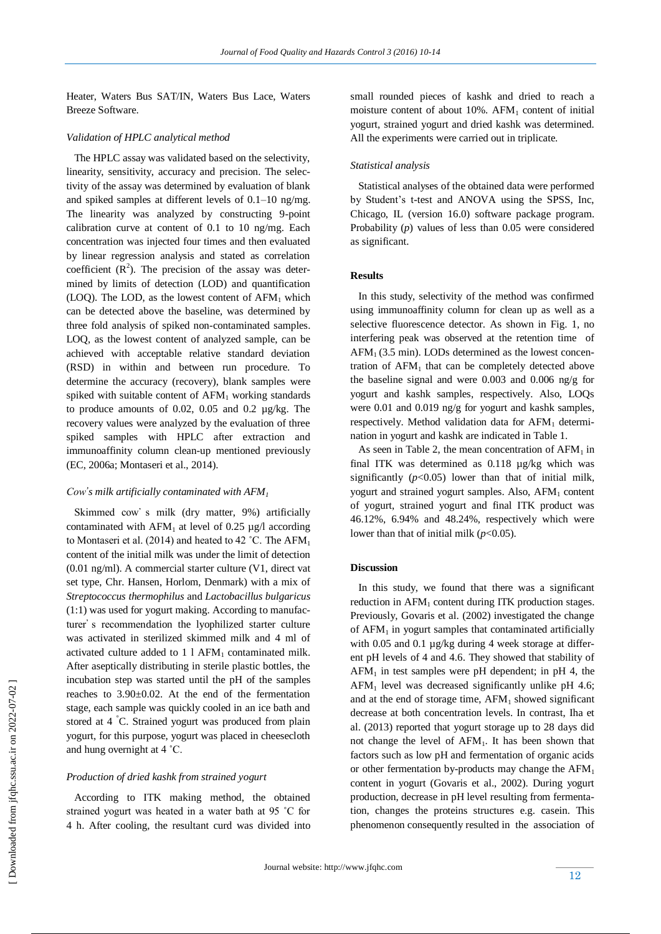Heater, Waters Bus SAT/IN, Waters Bus Lace, Waters Breeze Software.

## *Validation of HPLC analytical method*

 The HPLC assay was validated based on the selectivity, linearity, sensitivity, accuracy and precision. The selectivity of the assay was determined by evaluation of blank and spiked samples at different levels of 0.1–10 ng/mg. The linearity was analyzed by constructing 9-point calibration curve at content of 0.1 to 10 ng/mg. Each concentration was injected four times and then evaluated by linear regression analysis and stated as correlation coefficient  $(R^2)$ . The precision of the assay was determined by limits of detection (LOD) and quantification (LOQ). The LOD, as the lowest content of  $AFM<sub>1</sub>$  which can be detected above the baseline, was determined by three fold analysis of spiked non-contaminated samples. LOQ, as the lowest content of analyzed sample, can be achieved with acceptable relative standard deviation (RSD) in within and between run procedure. To determine the accuracy (recovery), blank samples were spiked with suitable content of  $AFM<sub>1</sub>$  working standards to produce amounts of 0.02, 0.05 and 0.2 µg/kg. The recovery values were analyzed by the evaluation of three spiked samples with HPLC after extraction and immunoaffinity column clean-up mentioned previously (EC, 2006a; Montaseri et al., 2014).

## *Cow's milk artificially contaminated with*  $AFM_1$

Skimmed cow's milk (dry matter, 9%) artificially contaminated with  $AFM_1$  at level of 0.25 µg/l according to Montaseri et al. (2014) and heated to 42 °C. The AFM<sub>1</sub> content of the initial milk was under the limit of detection (0.01 ng/ml). A commercial starter culture (V1, direct vat set type, Chr. Hansen, Horlom, Denmark) with a mix of *Streptococcus thermophilus* and *Lactobacillus bulgaricus* (1:1) was used for yogurt making. According to manufacturer's recommendation the lyophilized starter culture was activated in sterilized skimmed milk and 4 ml of activated culture added to  $1.1$  AFM<sub>1</sub> contaminated milk. After aseptically distributing in sterile plastic bottles, the incubation step was started until the pH of the samples reaches to 3.90±0.02. At the end of the fermentation stage, each sample was quickly cooled in an ice bath and stored at 4 °C. Strained yogurt was produced from plain yogurt, for this purpose, yogurt was placed in cheesecloth and hung overnight at 4 ˚C.

#### *Production of dried kashk from strained yogurt*

 According to ITK making method, the obtained strained yogurt was heated in a water bath at 95 ˚C for 4 h. After cooling, the resultant curd was divided into small rounded pieces of kashk and dried to reach a moisture content of about  $10\%$ . AFM<sub>1</sub> content of initial yogurt, strained yogurt and dried kashk was determined. All the experiments were carried out in triplicate.

## *Statistical analysis*

 Statistical analyses of the obtained data were performed by Student's t-test and ANOVA using the SPSS, Inc, Chicago, IL (version 16.0) software package program. Probability (*p*) values of less than 0.05 were considered as significant.

## **Results**

 In this study, selectivity of the method was confirmed using immunoaffinity column for clean up as well as a selective fluorescence detector. As shown in Fig. 1, no interfering peak was observed at the retention time of  $AFM<sub>1</sub>$  (3.5 min). LODs determined as the lowest concentration of  $AFM<sub>1</sub>$  that can be completely detected above the baseline signal and were 0.003 and 0.006 ng/g for yogurt and kashk samples, respectively. Also, LOQs were 0.01 and 0.019 ng/g for yogurt and kashk samples, respectively. Method validation data for  $AFM<sub>1</sub>$  determination in yogurt and kashk are indicated in Table 1.

As seen in Table 2, the mean concentration of  $AFM<sub>1</sub>$  in final ITK was determined as 0.118 µg/kg which was significantly  $(p<0.05)$  lower than that of initial milk, yogurt and strained yogurt samples. Also,  $AFM<sub>1</sub>$  content of yogurt, strained yogurt and final ITK product was 46.12%, 6.94% and 48.24%, respectively which were lower than that of initial milk (*p*<0.05).

## **Discussion**

 In this study, we found that there was a significant reduction in AFM<sub>1</sub> content during ITK production stages. Previously, Govaris et al. (2002) investigated the change of  $AFM<sub>1</sub>$  in yogurt samples that contaminated artificially with 0.05 and 0.1 µg/kg during 4 week storage at different pH levels of 4 and 4.6. They showed that stability of  $AFM<sub>1</sub>$  in test samples were pH dependent; in pH 4, the  $AFM<sub>1</sub>$  level was decreased significantly unlike pH 4.6; and at the end of storage time,  $AFM_1$  showed significant decrease at both concentration levels. In contrast, Iha et al. (2013) reported that yogurt storage up to 28 days did not change the level of AFM1. It has been shown that factors such as low pH and fermentation of organic acids or other fermentation by-products may change the  $AFM<sub>1</sub>$ content in yogurt (Govaris et al., 2002). During yogurt production, decrease in pH level resulting from fermentation, changes the proteins structures e.g. casein. This phenomenon consequently resulted in the association of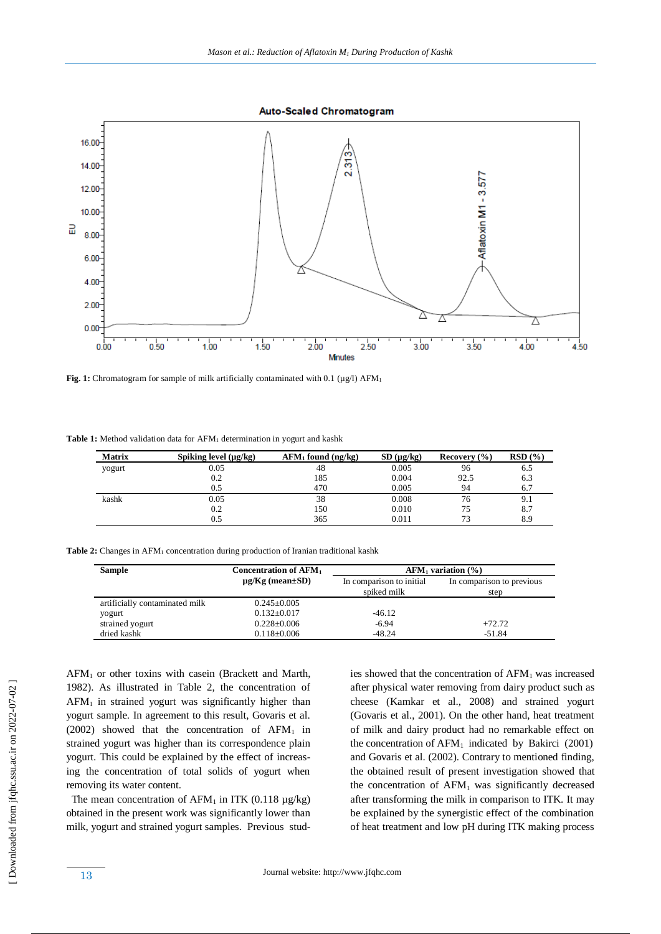**Auto-Scaled Chromatogram** 



Fig. 1: Chromatogram for sample of milk artificially contaminated with 0.1 (µg/l) AFM<sub>1</sub>

Table 1: Method validation data for AFM<sub>1</sub> determination in yogurt and kashk

| <b>Matrix</b> | Spiking level $(\mu g/kg)$ | $AFM_1$ found (ng/kg) | $SD(\mu g/kg)$ | Recovery $(\% )$ | RSD(%) |
|---------------|----------------------------|-----------------------|----------------|------------------|--------|
| yogurt        | 0.05                       | 48                    | 0.005          | 96               | 6.5    |
|               | 0.2                        | 85                    | 0.004          | 92.5             | 6.3    |
|               | 0.5                        | 470                   | 0.005          | 94               | 6.7    |
| kashk         | 0.05                       | 38                    | 0.008          | 76               | 9.1    |
|               | 0.2                        | 50                    | 0.010          | 75               | 8.7    |
|               | 0.5                        | 365                   | 0.011          |                  | 8.9    |

Table 2: Changes in AFM<sub>1</sub> concentration during production of Iranian traditional kashk

| <b>Sample</b>                  | <b>Concentration of AFM1</b><br>$AFM1$ variation $(\% )$ |                                         |                                   |
|--------------------------------|----------------------------------------------------------|-----------------------------------------|-----------------------------------|
|                                | $\mu$ g/Kg (mean $\pm$ SD)                               | In comparison to initial<br>spiked milk | In comparison to previous<br>step |
| artificially contaminated milk | $0.245 \pm 0.005$                                        |                                         |                                   |
| yogurt                         | $0.132 \pm 0.017$                                        | $-46.12$                                |                                   |
| strained yogurt                | $0.228 \pm 0.006$                                        | $-6.94$                                 | $+72.72$                          |
| dried kashk                    | $0.118 \pm 0.006$                                        | $-48.24$                                | $-51.84$                          |

 $AFM<sub>1</sub>$  or other toxins with casein (Brackett and Marth, 1982). As illustrated in Table 2, the concentration of  $AFM<sub>1</sub>$  in strained yogurt was significantly higher than yogurt sample. In agreement to this result, Govaris et al. (2002) showed that the concentration of  $AFM<sub>1</sub>$  in strained yogurt was higher than its correspondence plain yogurt. This could be explained by the effect of increasing the concentration of total solids of yogurt when removing its water content.

The mean concentration of  $AFM<sub>1</sub>$  in ITK (0.118  $\mu$ g/kg) obtained in the present work was significantly lower than milk, yogurt and strained yogurt samples. Previous studies showed that the concentration of  $AFM<sub>1</sub>$  was increased after physical water removing from dairy product such as cheese (Kamkar et al., 2008) and strained yogurt (Govaris et al., 2001). On the other hand, heat treatment of milk and dairy product had no remarkable effect on the concentration of  $AFM_1$  indicated by Bakirci (2001) and Govaris et al. (2002). Contrary to mentioned finding, the obtained result of present investigation showed that the concentration of  $AFM<sub>1</sub>$  was significantly decreased after transforming the milk in comparison to ITK. It may be explained by the synergistic effect of the combination of heat treatment and low pH during ITK making process